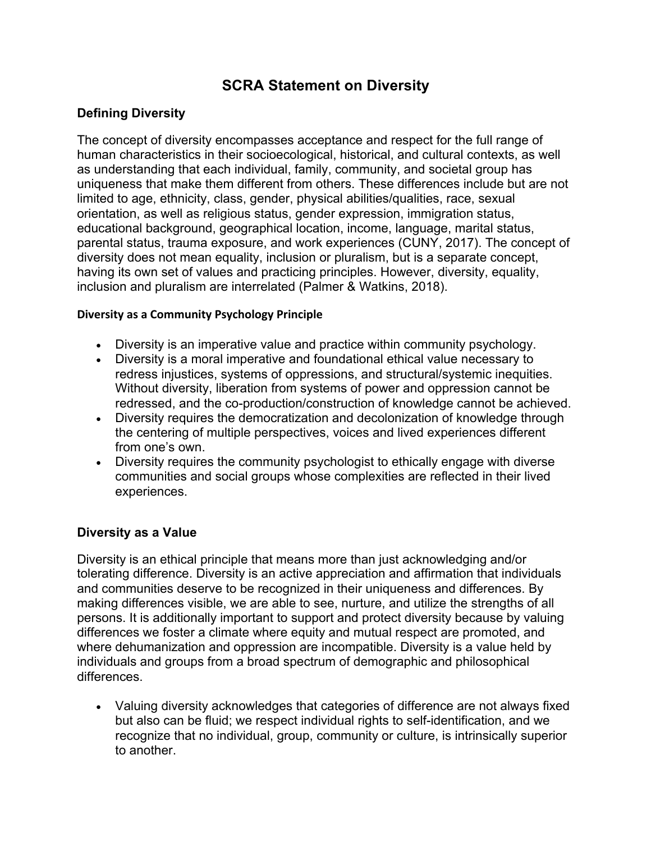# **SCRA Statement on Diversity**

## **Defining Diversity**

The concept of diversity encompasses acceptance and respect for the full range of human characteristics in their socioecological, historical, and cultural contexts, as well as understanding that each individual, family, community, and societal group has uniqueness that make them different from others. These differences include but are not limited to age, ethnicity, class, gender, physical abilities/qualities, race, sexual orientation, as well as religious status, gender expression, immigration status, educational background, geographical location, income, language, marital status, parental status, trauma exposure, and work experiences (CUNY, 2017). The concept of diversity does not mean equality, inclusion or pluralism, but is a separate concept, having its own set of values and practicing principles. However, diversity, equality, inclusion and pluralism are interrelated (Palmer & Watkins, 2018).

#### **Diversity as a Community Psychology Principle**

- Diversity is an imperative value and practice within community psychology.
- Diversity is a moral imperative and foundational ethical value necessary to redress injustices, systems of oppressions, and structural/systemic inequities. Without diversity, liberation from systems of power and oppression cannot be redressed, and the co-production/construction of knowledge cannot be achieved.
- Diversity requires the democratization and decolonization of knowledge through the centering of multiple perspectives, voices and lived experiences different from one's own.
- Diversity requires the community psychologist to ethically engage with diverse communities and social groups whose complexities are reflected in their lived experiences.

#### **Diversity as a Value**

Diversity is an ethical principle that means more than just acknowledging and/or tolerating difference. Diversity is an active appreciation and affirmation that individuals and communities deserve to be recognized in their uniqueness and differences. By making differences visible, we are able to see, nurture, and utilize the strengths of all persons. It is additionally important to support and protect diversity because by valuing differences we foster a climate where equity and mutual respect are promoted, and where dehumanization and oppression are incompatible. Diversity is a value held by individuals and groups from a broad spectrum of demographic and philosophical differences.

• Valuing diversity acknowledges that categories of difference are not always fixed but also can be fluid; we respect individual rights to self-identification, and we recognize that no individual, group, community or culture, is intrinsically superior to another.